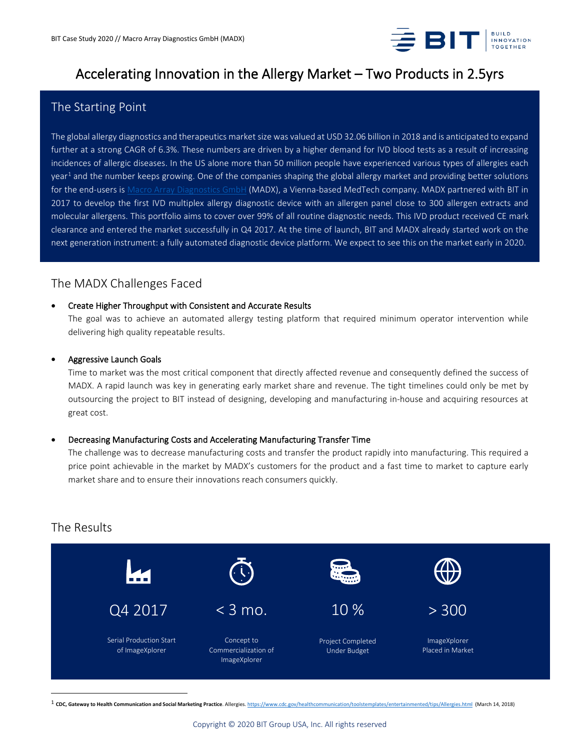

# Accelerating Innovation in the Allergy Market – Two Products in 2.5yrs

## The Starting Point

The global allergy diagnostics and therapeutics market size was valued at USD 32.06 billion in 2018 and is anticipated to expand further at a strong CAGR of 6.3%. These numbers are driven by a higher demand for IVD blood tests as a result of increasing incidences of allergic diseases. In the US alone more than 50 million people have experienced various types of allergies each year<sup>[1](#page-0-0)</sup> and the number keeps growing. One of the companies shaping the global allergy market and providing better solutions for the end-users i[s Macro Array Diagnostics](https://www.macroarraydx.com/) GmbH (MADX), a Vienna-based MedTech company. MADX partnered with BIT in 2017 to develop the first IVD multiplex allergy diagnostic device with an allergen panel close to 300 allergen extracts and molecular allergens. This portfolio aims to cover over 99% of all routine diagnostic needs. This IVD product received CE mark clearance and entered the market successfully in Q4 2017. At the time of launch, BIT and MADX already started work on the next generation instrument: a fully automated diagnostic device platform. We expect to see this on the market early in 2020.

### The MADX Challenges Faced

### • Create Higher Throughput with Consistent and Accurate Results

The goal was to achieve an automated allergy testing platform that required minimum operator intervention while delivering high quality repeatable results.

### • Aggressive Launch Goals

Time to market was the most critical component that directly affected revenue and consequently defined the success of MADX. A rapid launch was key in generating early market share and revenue. The tight timelines could only be met by outsourcing the project to BIT instead of designing, developing and manufacturing in-house and acquiring resources at great cost.

### • Decreasing Manufacturing Costs and Accelerating Manufacturing Transfer Time

The challenge was to decrease manufacturing costs and transfer the product rapidly into manufacturing. This required a price point achievable in the market by MADX's customers for the product and a fast time to market to capture early market share and to ensure their innovations reach consumers quickly.

### The Results



<span id="page-0-0"></span><sup>1</sup> **CDC, Gateway to Health Communication and Social Marketing Practice**. Allergies[. https://www.cdc.gov/healthcommunication/toolstemplates/entertainmented/tips/Allergies.html](https://www.cdc.gov/healthcommunication/toolstemplates/entertainmented/tips/Allergies.html) (March 14, 2018)